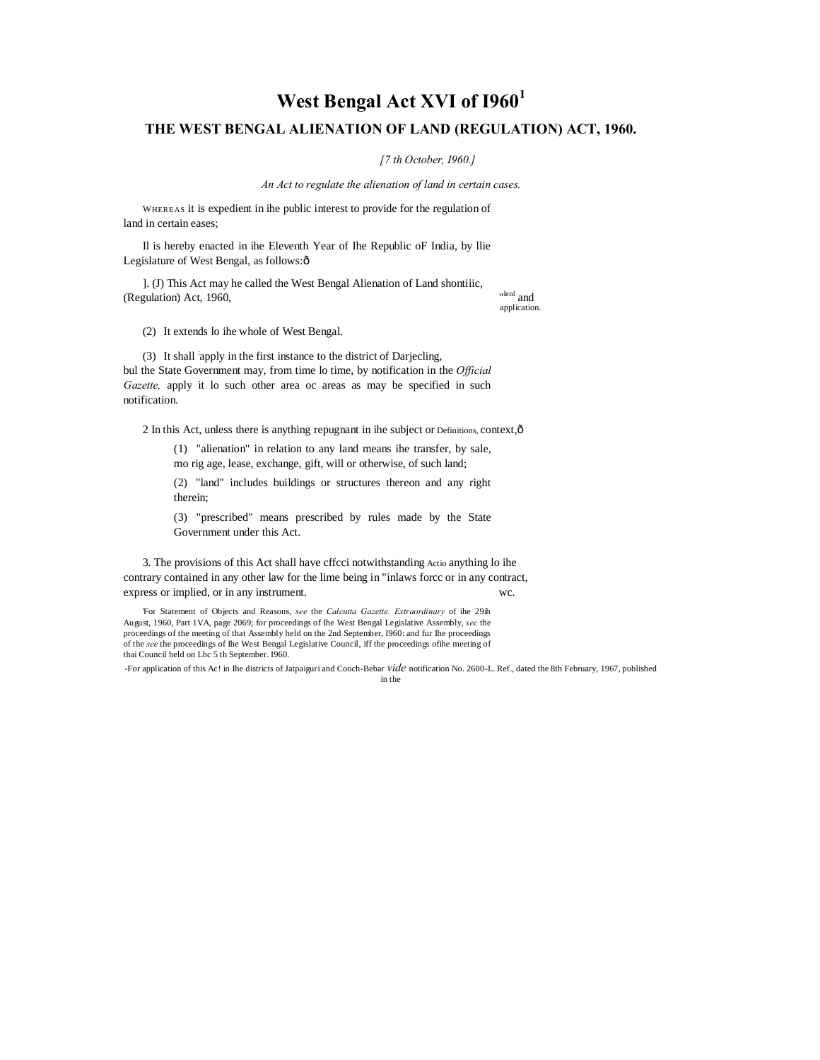# **West Bengal Act XVI of I960<sup>1</sup> THE WEST BENGAL ALIENATION OF LAND (REGULATION) ACT, 1960.**

*[7 th October, I960.]*

*An Act to regulate the alienation of land in certain cases.*

WHEREAS it is expedient in ihe public interest to provide for the regulation of land in certain eases;

Il is hereby enacted in ihe Eleventh Year of Ihe Republic oF India, by llie Legislature of West Bengal, as follows: $\hat{o}$ 

]. (J) This Act may he called the West Bengal Alienation of Land shontiiic, (Regulation) Act, 1960,

lenl and application.

(2) It extends lo ihe whole of West Bengal.

(3) It shall : apply in the first instance to the district of Darjecling, bul the State Government may, from time lo time, by notification in the *Official Gazette,* apply it lo such other area oc areas as may be specified in such notification.

2 In this Act, unless there is anything repugnant in ihe subject or Definitions, context,—

(1) "alienation" in relation to any land means ihe transfer, by sale, mo rig age, lease, exchange, gift, will or otherwise, of such land;

(2) "land" includes buildings or structures thereon and any right therein;

(3) "prescribed" means prescribed by rules made by the State Government under this Act.

3. The provisions of this Act shall have cffcci notwithstanding Actio anything lo ihe contrary contained in any other law for the lime being in "inlaws forcc or in any contract, express or implied, or in any instrument. wc.

'For Statement of Objects and Reasons, *see* the *Calcutta Gazette. Extraordinary* of ihe 29ih August, 1960, Part 1VA, page 2069; for proceedings of Ihe West Bengal Legislative Assembly, *sec* the proceedings of the meeting of that Assembly held on the 2nd September, I960: and fur Ihe proceedings of the *see* the proceedings of Ihe West Bengal Legislative Council, iff the proceedings ofihe meeting of thai Council held on Lhc 5 th September. I960.

-For application of this Ac! in Ihe districts of Jatpaiguri and Cooch-Bebar *vide* notification No. 2600-L. Ref., dated the 8th February, 1967, published in the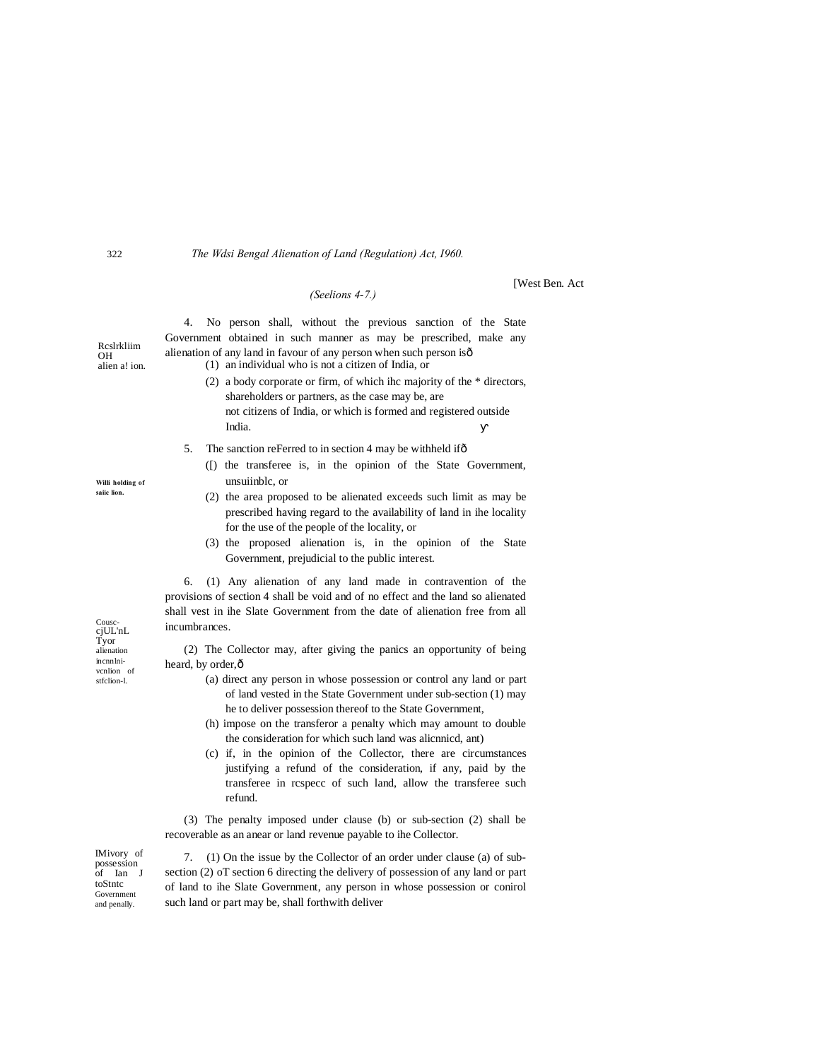The Wdsi Bengal Alienation of Land (Regulation) Act, 1960.

### (Seelions 4-7.)

4. No person shall, without the previous sanction of the State Government obtained in such manner as may be prescribed, make any alienation of any land in favour of any person when such person isô (1) an individual who is not a citizen of India, or

> (2) a body corporate or firm, of which ihe majority of the  $*$  directors, shareholders or partners, as the case may be, are not citizens of India, or which is formed and registered outside India.

**IWest Ben. Act** 

- 5. The sanction reFerred to in section 4 may be withheld if ô
	- ([) the transferee is, in the opinion of the State Government, unsuiinblc, or
	- (2) the area proposed to be alienated exceeds such limit as may be prescribed having regard to the availability of land in ihe locality for the use of the people of the locality, or
	- (3) the proposed alienation is, in the opinion of the State Government, prejudicial to the public interest.

6. (1) Any alienation of any land made in contravention of the provisions of section 4 shall be void and of no effect and the land so alienated shall vest in ihe Slate Government from the date of alienation free from all incumbrances.

(2) The Collector may, after giving the panics an opportunity of being heard, by order, ô

- (a) direct any person in whose possession or control any land or part of land vested in the State Government under sub-section (1) may he to deliver possession thereof to the State Government,
- (h) impose on the transferor a penalty which may amount to double the consideration for which such land was alicnnicd, ant)
- (c) if, in the opinion of the Collector, there are circumstances justifying a refund of the consideration, if any, paid by the transferee in respece of such land, allow the transferee such refund.

(3) The penalty imposed under clause (b) or sub-section (2) shall be recoverable as an anear or land revenue payable to ihe Collector.

7. (1) On the issue by the Collector of an order under clause (a) of subsection (2) oT section 6 directing the delivery of possession of any land or part of land to ihe Slate Government, any person in whose possession or conirol such land or part may be, shall forthwith deliver

Cousc-<br>cjUL'nL<br>Tyor<br>alienation incnnlnivenlion of stfclion-l.

IMivory of

possession<br>of Ian J

Government

and penally.

toStntc

Reslrkliim

322

OH alien a! ion.

Willi holding of saiic lion.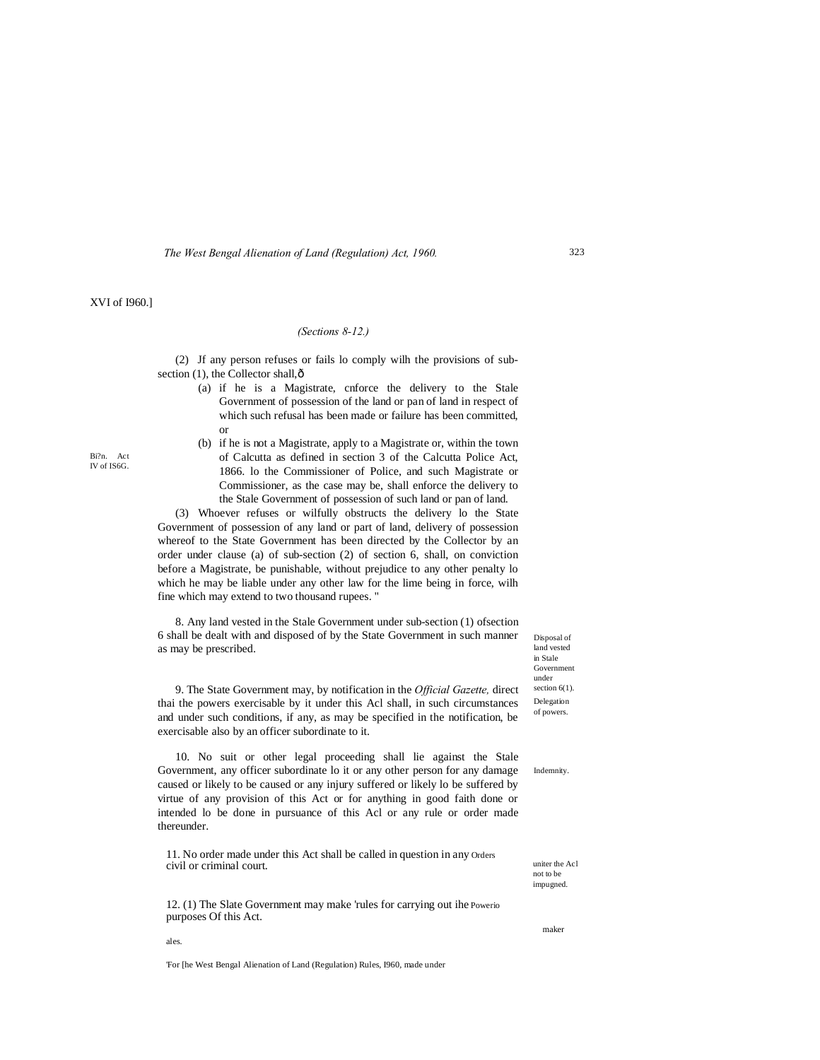# XVI of I960.]

#### *(Sections 8-12.)*

(2) Jf any person refuses or fails lo comply wilh the provisions of subsection (1), the Collector shall, $\hat{o}$ 

- (a) if he is a Magistrate, cnforce the delivery to the Stale Government of possession of the land or pan of land in respect of which such refusal has been made or failure has been committed, or
- (b) if he is not a Magistrate, apply to a Magistrate or, within the town of Calcutta as defined in section 3 of the Calcutta Police Act, 1866. lo the Commissioner of Police, and such Magistrate or Commissioner, as the case may be, shall enforce the delivery to the Stale Government of possession of such land or pan of land.

(3) Whoever refuses or wilfully obstructs the delivery lo the State Government of possession of any land or part of land, delivery of possession whereof to the State Government has been directed by the Collector by an order under clause (a) of sub-section (2) of section 6, shall, on conviction before a Magistrate, be punishable, without prejudice to any other penalty lo which he may be liable under any other law for the lime being in force, wilh fine which may extend to two thousand rupees. "

8. Any land vested in the Stale Government under sub-section (1) ofsection 6 shall be dealt with and disposed of by the State Government in such manner as may be prescribed.

Disposal of land vested in Stale Government under section  $6(1)$ . Delegation of powers.

Indemnity.

9. The State Government may, by notification in the *Official Gazette,* direct thai the powers exercisable by it under this Acl shall, in such circumstances and under such conditions, if any, as may be specified in the notification, be exercisable also by an officer subordinate to it.

10. No suit or other legal proceeding shall lie against the Stale Government, any officer subordinate lo it or any other person for any damage caused or likely to be caused or any injury suffered or likely lo be suffered by virtue of any provision of this Act or for anything in good faith done or intended lo be done in pursuance of this Acl or any rule or order made thereunder.

11. No order made under this Act shall be called in question in any Orders civil or criminal court.

12. (1) The Slate Government may make 'rules for carrying out ihe Powerio purposes Of this Act.

uniter the Acl not to be impugned.

maker

ales.

'For [he West Bengal Alienation of Land (Regulation) Rules, I960, made under

323

Bi?n. Act IV of IS6G.